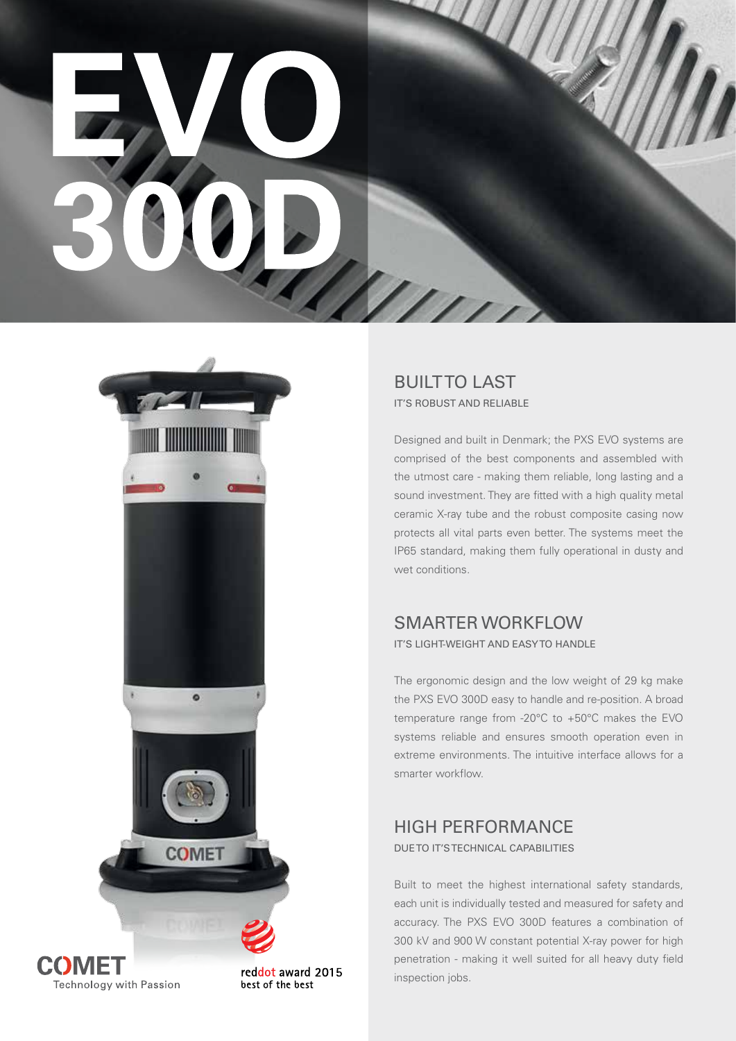



COMET Technology with Passion

reddot award 2015 best of the best

BUILT TO LAST IT'S ROBUST AND RELIABLE

Designed and built in Denmark; the PXS EVO systems are comprised of the best components and assembled with the utmost care - making them reliable, long lasting and a sound investment. They are fitted with a high quality metal ceramic X-ray tube and the robust composite casing now protects all vital parts even better. The systems meet the IP65 standard, making them fully operational in dusty and wet conditions.

# SMARTER WORKFLOW

IT'S LIGHT-WEIGHT AND EASY TO HANDLE

The ergonomic design and the low weight of 29 kg make the PXS EVO 300D easy to handle and re-position. A broad temperature range from -20°C to +50°C makes the EVO systems reliable and ensures smooth operation even in extreme environments. The intuitive interface allows for a smarter workflow.

# HIGH PERFORMANCE

DUE TO IT'S TECHNICAL CAPABILITIES

Built to meet the highest international safety standards, each unit is individually tested and measured for safety and accuracy. The PXS EVO 300D features a combination of 300 kV and 900 W constant potential X-ray power for high penetration - making it well suited for all heavy duty field inspection jobs.